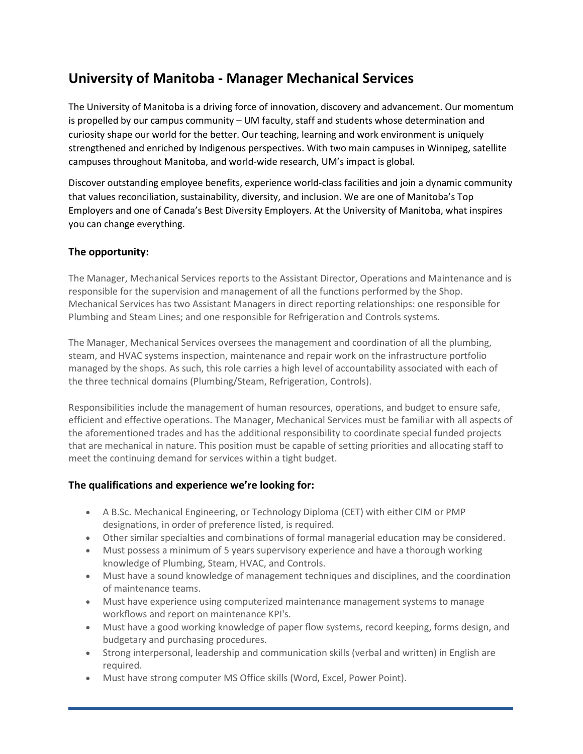# **University of Manitoba - Manager Mechanical Services**

The University of Manitoba is a driving force of innovation, discovery and advancement. Our momentum is propelled by our campus community – UM faculty, staff and students whose determination and curiosity shape our world for the better. Our teaching, learning and work environment is uniquely strengthened and enriched by Indigenous perspectives. With two main campuses in Winnipeg, satellite campuses throughout Manitoba, and world-wide research, UM's impact is global.

Discover outstanding employee benefits, experience world-class facilities and join a dynamic community that values reconciliation, sustainability, diversity, and inclusion. We are one of Manitoba's Top Employers and one of Canada's Best Diversity Employers. At the University of Manitoba, what inspires you can change everything.

# **The opportunity:**

The Manager, Mechanical Services reports to the Assistant Director, Operations and Maintenance and is responsible for the supervision and management of all the functions performed by the Shop. Mechanical Services has two Assistant Managers in direct reporting relationships: one responsible for Plumbing and Steam Lines; and one responsible for Refrigeration and Controls systems.

The Manager, Mechanical Services oversees the management and coordination of all the plumbing, steam, and HVAC systems inspection, maintenance and repair work on the infrastructure portfolio managed by the shops. As such, this role carries a high level of accountability associated with each of the three technical domains (Plumbing/Steam, Refrigeration, Controls).

Responsibilities include the management of human resources, operations, and budget to ensure safe, efficient and effective operations. The Manager, Mechanical Services must be familiar with all aspects of the aforementioned trades and has the additional responsibility to coordinate special funded projects that are mechanical in nature. This position must be capable of setting priorities and allocating staff to meet the continuing demand for services within a tight budget.

## **The qualifications and experience we're looking for:**

- A B.Sc. Mechanical Engineering, or Technology Diploma (CET) with either CIM or PMP designations, in order of preference listed, is required.
- Other similar specialties and combinations of formal managerial education may be considered.
- Must possess a minimum of 5 years supervisory experience and have a thorough working knowledge of Plumbing, Steam, HVAC, and Controls.
- Must have a sound knowledge of management techniques and disciplines, and the coordination of maintenance teams.
- Must have experience using computerized maintenance management systems to manage workflows and report on maintenance KPI's.
- Must have a good working knowledge of paper flow systems, record keeping, forms design, and budgetary and purchasing procedures.
- Strong interpersonal, leadership and communication skills (verbal and written) in English are required.
- Must have strong computer MS Office skills (Word, Excel, Power Point).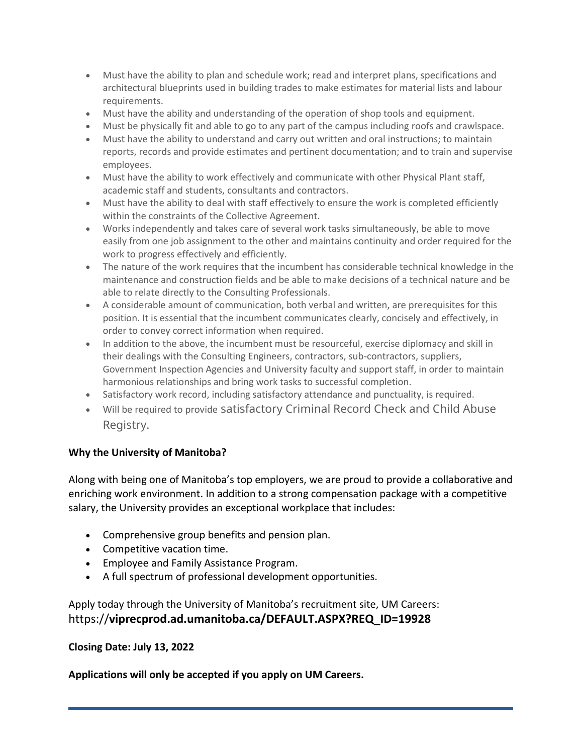- Must have the ability to plan and schedule work; read and interpret plans, specifications and architectural blueprints used in building trades to make estimates for material lists and labour requirements.
- Must have the ability and understanding of the operation of shop tools and equipment.
- Must be physically fit and able to go to any part of the campus including roofs and crawlspace.
- Must have the ability to understand and carry out written and oral instructions; to maintain reports, records and provide estimates and pertinent documentation; and to train and supervise employees.
- Must have the ability to work effectively and communicate with other Physical Plant staff, academic staff and students, consultants and contractors.
- Must have the ability to deal with staff effectively to ensure the work is completed efficiently within the constraints of the Collective Agreement.
- Works independently and takes care of several work tasks simultaneously, be able to move easily from one job assignment to the other and maintains continuity and order required for the work to progress effectively and efficiently.
- The nature of the work requires that the incumbent has considerable technical knowledge in the maintenance and construction fields and be able to make decisions of a technical nature and be able to relate directly to the Consulting Professionals.
- A considerable amount of communication, both verbal and written, are prerequisites for this position. It is essential that the incumbent communicates clearly, concisely and effectively, in order to convey correct information when required.
- In addition to the above, the incumbent must be resourceful, exercise diplomacy and skill in their dealings with the Consulting Engineers, contractors, sub-contractors, suppliers, Government Inspection Agencies and University faculty and support staff, in order to maintain harmonious relationships and bring work tasks to successful completion.
- Satisfactory work record, including satisfactory attendance and punctuality, is required.
- Will be required to provide satisfactory Criminal Record Check and Child Abuse Registry.

# **Why the University of Manitoba?**

Along with being one of Manitoba's top employers, we are proud to provide a collaborative and enriching work environment. In addition to a strong compensation package with a competitive salary, the University provides an exceptional workplace that includes:

- Comprehensive group benefits and pension plan.
- Competitive vacation time.
- Employee and Family Assistance Program.
- A full spectrum of professional development opportunities.

Apply today through the University of Manitoba's recruitment site, UM Careers: https://**viprecprod.ad.umanitoba.ca/DEFAULT.ASPX?REQ\_ID=19928**

## **Closing Date: July 13, 2022**

## **Applications will only be accepted if you apply on UM Careers.**